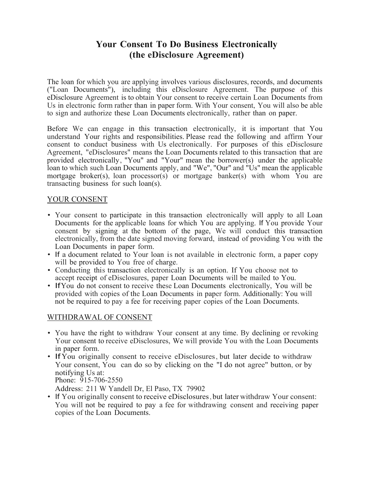# **Your Consent To Do Business Electronically (the eDisclosure Agreement)**

The loan for which you are applying involves various disclosures, records, and documents ("Loan Documents"), including this eDisclosure Agreement. The purpose of this eDisclosure Agreement is to obtain Your consent to receive certain Loan Documents from Us in electronic form rather than in paper form. With Your consent, You will also be able to sign and authorize these Loan Documents electronically, rather than on paper.

Before We can engage in this transaction electronically, it is important that You understand Your rights and responsibilities. Please read the following and affirm Your consent to conduct business with Us electronically. For purposes of this eDisclosure Agreement, "eDisclosures" means the Loan Documents related to this transaction that are provided electronically, "You" and "Your" mean the borrower(s) under the applicable loan to which such Loan Documents apply, and "We", "Our" and "Us" mean the applicable mortgage broker(s), loan processor(s) or mortgage banker(s) with whom You are transacting business for such loan(s).

### YOUR CONSENT

- Your consent to participate in this transaction electronically will apply to all Loan Documents for the applicable loans for which You are applying. If You provide Your consent by signing at the bottom of the page, We will conduct this transaction electronically, from the date signed moving forward, instead of providing You with the Loan Documents in paper form.
- If a document related to Your loan is not available in electronic form, a paper copy will be provided to You free of charge.
- Conducting this transaction electronically is an option. If You choose not to accept receipt of eDisclosures, paper Loan Documents will be mailed to You.
- IfYou do not consent to receive these Loan Documents electronically, You will be provided with copies of the Loan Documents in paper form. Additionally: You will not be required to pay a fee for receiving paper copies of the Loan Documents.

### WITHDRAWAL OF CONSENT

- You have the right to withdraw Your consent at any time. By declining or revoking Your consent to receive eDisclosures, We will provide You with the Loan Documents in paper form.
- IfYou originally consent to receive eDisclosures, but later decide to withdraw Your consent, You can do so by clicking on the "I do not agree" button, or by notifying Us at: Phone: 915-706-2550

Address: 211 W Yandell Dr, El Paso, TX 79902

• If You originally consent to receive eDisclosures, but later withdraw Your consent: You will not be required to pay a fee for withdrawing consent and receiving paper copies of the Loan Documents.